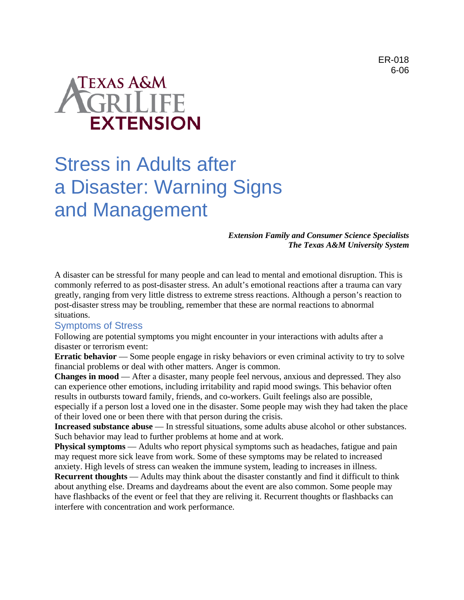# **TEXAS A&M EXTENSION**

# Stress in Adults after a Disaster: Warning Signs and Management

## *Extension Family and Consumer Science Specialists The Texas A&M University System*

A disaster can be stressful for many people and can lead to mental and emotional disruption. This is commonly referred to as post-disaster stress. An adult's emotional reactions after a trauma can vary greatly, ranging from very little distress to extreme stress reactions. Although a person's reaction to post-disaster stress may be troubling, remember that these are normal reactions to abnormal situations.

# Symptoms of Stress

Following are potential symptoms you might encounter in your interactions with adults after a disaster or terrorism event:

**Erratic behavior** — Some people engage in risky behaviors or even criminal activity to try to solve financial problems or deal with other matters. Anger is common.

**Changes in mood** — After a disaster, many people feel nervous, anxious and depressed. They also can experience other emotions, including irritability and rapid mood swings. This behavior often results in outbursts toward family, friends, and co-workers. Guilt feelings also are possible, especially if a person lost a loved one in the disaster. Some people may wish they had taken the place of their loved one or been there with that person during the crisis.

**Increased substance abuse** — In stressful situations, some adults abuse alcohol or other substances. Such behavior may lead to further problems at home and at work.

**Physical symptoms** — Adults who report physical symptoms such as headaches, fatigue and pain may request more sick leave from work. Some of these symptoms may be related to increased anxiety. High levels of stress can weaken the immune system, leading to increases in illness.

**Recurrent thoughts** — Adults may think about the disaster constantly and find it difficult to think about anything else. Dreams and daydreams about the event are also common. Some people may have flashbacks of the event or feel that they are reliving it. Recurrent thoughts or flashbacks can interfere with concentration and work performance.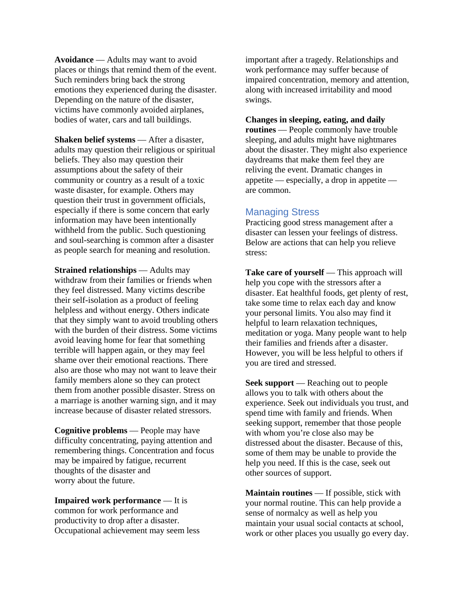**Avoidance** — Adults may want to avoid places or things that remind them of the event. Such reminders bring back the strong emotions they experienced during the disaster. Depending on the nature of the disaster, victims have commonly avoided airplanes, bodies of water, cars and tall buildings.

**Shaken belief systems** — After a disaster, adults may question their religious or spiritual beliefs. They also may question their assumptions about the safety of their community or country as a result of a toxic waste disaster, for example. Others may question their trust in government officials, especially if there is some concern that early information may have been intentionally withheld from the public. Such questioning and soul-searching is common after a disaster as people search for meaning and resolution.

**Strained relationships** — Adults may withdraw from their families or friends when they feel distressed. Many victims describe their self-isolation as a product of feeling helpless and without energy. Others indicate that they simply want to avoid troubling others with the burden of their distress. Some victims avoid leaving home for fear that something terrible will happen again, or they may feel shame over their emotional reactions. There also are those who may not want to leave their family members alone so they can protect them from another possible disaster. Stress on a marriage is another warning sign, and it may increase because of disaster related stressors.

**Cognitive problems** — People may have difficulty concentrating, paying attention and remembering things. Concentration and focus may be impaired by fatigue, recurrent thoughts of the disaster and worry about the future.

**Impaired work performance** — It is common for work performance and productivity to drop after a disaster. Occupational achievement may seem less important after a tragedy. Relationships and work performance may suffer because of impaired concentration, memory and attention, along with increased irritability and mood swings.

#### **Changes in sleeping, eating, and daily**

**routines** — People commonly have trouble sleeping, and adults might have nightmares about the disaster. They might also experience daydreams that make them feel they are reliving the event. Dramatic changes in appetite — especially, a drop in appetite are common.

# Managing Stress

Practicing good stress management after a disaster can lessen your feelings of distress. Below are actions that can help you relieve stress:

**Take care of yourself** — This approach will help you cope with the stressors after a disaster. Eat healthful foods, get plenty of rest, take some time to relax each day and know your personal limits. You also may find it helpful to learn relaxation techniques, meditation or yoga. Many people want to help their families and friends after a disaster. However, you will be less helpful to others if you are tired and stressed.

**Seek support** — Reaching out to people allows you to talk with others about the experience. Seek out individuals you trust, and spend time with family and friends. When seeking support, remember that those people with whom you're close also may be distressed about the disaster. Because of this, some of them may be unable to provide the help you need. If this is the case, seek out other sources of support.

**Maintain routines** — If possible, stick with your normal routine. This can help provide a sense of normalcy as well as help you maintain your usual social contacts at school, work or other places you usually go every day.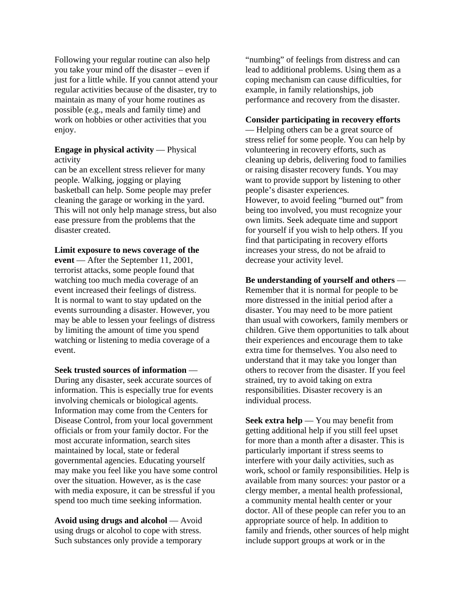Following your regular routine can also help you take your mind off the disaster – even if just for a little while. If you cannot attend your regular activities because of the disaster, try to maintain as many of your home routines as possible (e.g., meals and family time) and work on hobbies or other activities that you enjoy.

## **Engage in physical activity** — Physical activity

can be an excellent stress reliever for many people. Walking, jogging or playing basketball can help. Some people may prefer cleaning the garage or working in the yard. This will not only help manage stress, but also ease pressure from the problems that the disaster created.

**Limit exposure to news coverage of the** 

**event** — After the September 11, 2001, terrorist attacks, some people found that watching too much media coverage of an event increased their feelings of distress. It is normal to want to stay updated on the events surrounding a disaster. However, you may be able to lessen your feelings of distress by limiting the amount of time you spend watching or listening to media coverage of a event.

**Seek trusted sources of information** —

During any disaster, seek accurate sources of information. This is especially true for events involving chemicals or biological agents. Information may come from the Centers for Disease Control, from your local government officials or from your family doctor. For the most accurate information, search sites maintained by local, state or federal governmental agencies. Educating yourself may make you feel like you have some control over the situation. However, as is the case with media exposure, it can be stressful if you spend too much time seeking information.

**Avoid using drugs and alcohol** — Avoid using drugs or alcohol to cope with stress. Such substances only provide a temporary "numbing" of feelings from distress and can lead to additional problems. Using them as a coping mechanism can cause difficulties, for example, in family relationships, job performance and recovery from the disaster.

#### **Consider participating in recovery efforts**

— Helping others can be a great source of stress relief for some people. You can help by volunteering in recovery efforts, such as cleaning up debris, delivering food to families or raising disaster recovery funds. You may want to provide support by listening to other people's disaster experiences. However, to avoid feeling "burned out" from being too involved, you must recognize your own limits. Seek adequate time and support for yourself if you wish to help others. If you find that participating in recovery efforts increases your stress, do not be afraid to decrease your activity level.

# **Be understanding of yourself and others** —

Remember that it is normal for people to be more distressed in the initial period after a disaster. You may need to be more patient than usual with coworkers, family members or children. Give them opportunities to talk about their experiences and encourage them to take extra time for themselves. You also need to understand that it may take you longer than others to recover from the disaster. If you feel strained, try to avoid taking on extra responsibilities. Disaster recovery is an individual process.

**Seek extra help** — You may benefit from getting additional help if you still feel upset for more than a month after a disaster. This is particularly important if stress seems to interfere with your daily activities, such as work, school or family responsibilities. Help is available from many sources: your pastor or a clergy member, a mental health professional, a community mental health center or your doctor. All of these people can refer you to an appropriate source of help. In addition to family and friends, other sources of help might include support groups at work or in the